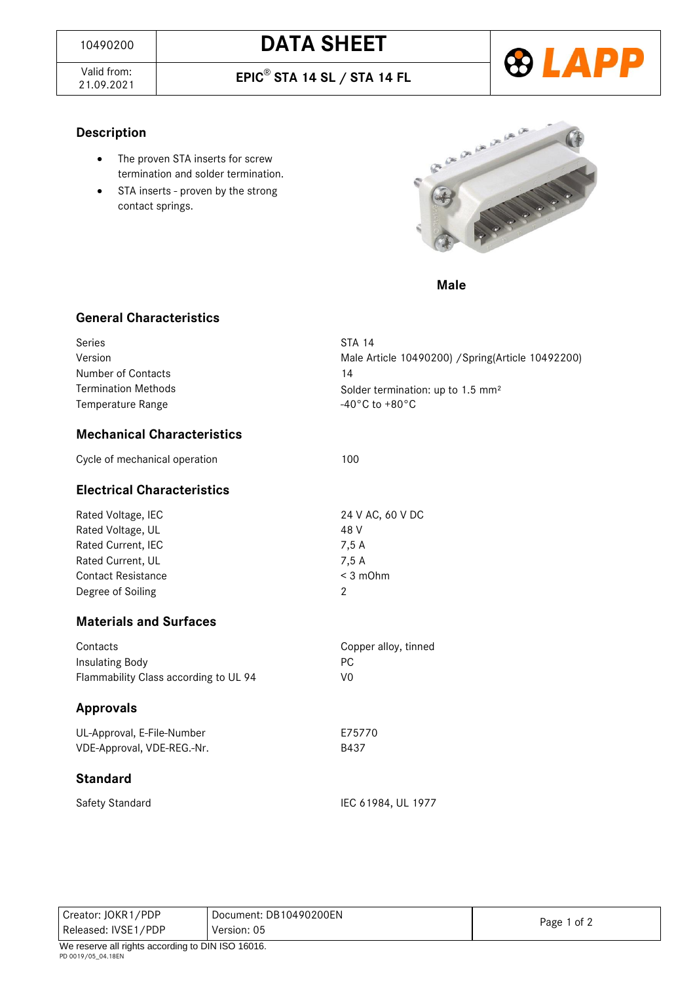## <sup>10490200</sup> **DATA SHEET**

Valid from: 21.09.2021 **EPIC**® **STA 14 SL / STA 14 FL**



#### **Description**

- The proven STA inserts for screw termination and solder termination.
- STA inserts proven by the strong contact springs.



*Male* 

#### **General Characteristics**

| Series                            | <b>STA 14</b>                                      |
|-----------------------------------|----------------------------------------------------|
| Version                           | Male Article 10490200) / Spring (Article 10492200) |
| Number of Contacts                | 14                                                 |
| <b>Termination Methods</b>        | Solder termination: up to 1.5 mm <sup>2</sup>      |
| Temperature Range                 | $-40\degree$ C to $+80\degree$ C                   |
| <b>Mechanical Characteristics</b> |                                                    |

| Cycle of mechanical operation | 100 |
|-------------------------------|-----|
|                               |     |

#### **Electrical Characteristics**

Rated Voltage, IEC 24 V AC, 60 V DC Rated Voltage, UL 48 V Rated Current, IEC 7,5 A Rated Current, UL 7,5 A Contact Resistance < 3 mOhm Degree of Soiling 2

### **Materials and Surfaces**

| Contacts                              | Copper alloy, tinned |
|---------------------------------------|----------------------|
| Insulating Body                       | PC.                  |
| Flammability Class according to UL 94 | V0                   |

#### **Approvals**

UL-Approval, E-File-Number E75770 VDE-Approval, VDE-REG.-Nr. B437

#### **Standard**

Safety Standard IEC 61984, UL 1977

| Creator: JOKR1/PDP<br>Released: IVSE1/PDP         | Document: DB10490200EN<br>Version: 05 | Page 1 of 2 |  |  |
|---------------------------------------------------|---------------------------------------|-------------|--|--|
| We reserve all rights according to DIN ISO 16016. |                                       |             |  |  |
| PD 0019/05 04.18EN                                |                                       |             |  |  |